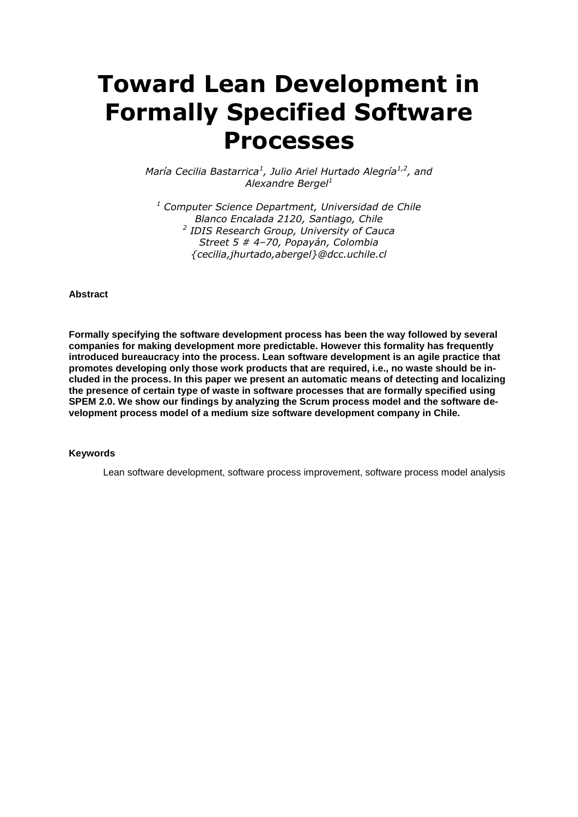# **Toward Lean Development in Formally Specified Software Processes**

*María Cecilia Bastarrica<sup>1</sup> , Julio Ariel Hurtado Alegría1,2, and Alexandre Bergel<sup>1</sup>*

*<sup>1</sup> Computer Science Department, Universidad de Chile Blanco Encalada 2120, Santiago, Chile 2 IDIS Research Group, University of Cauca Street 5 # 4–70, Popayán, Colombia {cecilia,jhurtado,abergel}@dcc.uchile.cl*

#### **Abstract**

**Formally specifying the software development process has been the way followed by several companies for making development more predictable. However this formality has frequently introduced bureaucracy into the process. Lean software development is an agile practice that promotes developing only those work products that are required, i.e., no waste should be included in the process. In this paper we present an automatic means of detecting and localizing the presence of certain type of waste in software processes that are formally specified using SPEM 2.0. We show our findings by analyzing the Scrum process model and the software development process model of a medium size software development company in Chile.**

#### **Keywords**

Lean software development, software process improvement, software process model analysis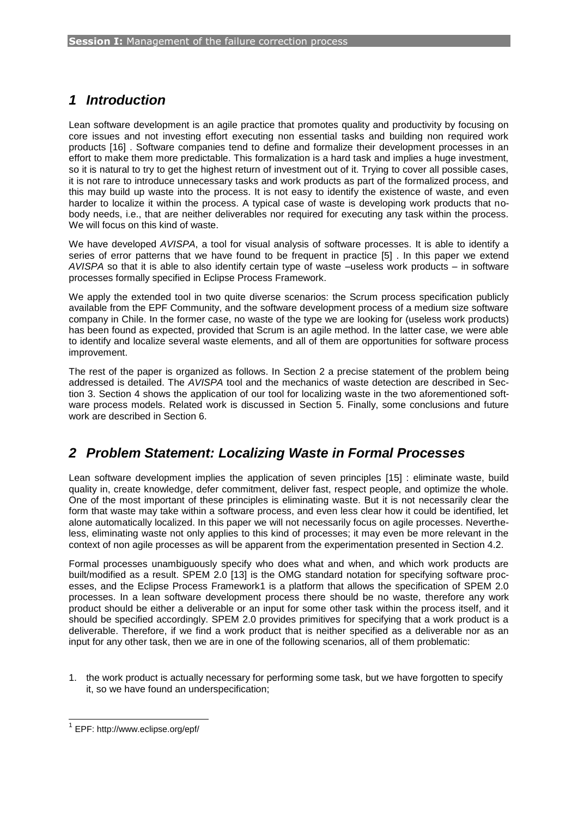# *1 Introduction*

Lean software development is an agile practice that promotes quality and productivity by focusing on core issues and not investing effort executing non essential tasks and building non required work products [\[16\] .](#page-9-0) Software companies tend to define and formalize their development processes in an effort to make them more predictable. This formalization is a hard task and implies a huge investment, so it is natural to try to get the highest return of investment out of it. Trying to cover all possible cases, it is not rare to introduce unnecessary tasks and work products as part of the formalized process, and this may build up waste into the process. It is not easy to identify the existence of waste, and even harder to localize it within the process. A typical case of waste is developing work products that nobody needs, i.e., that are neither deliverables nor required for executing any task within the process. We will focus on this kind of waste.

We have developed *AVISPA*, a tool for visual analysis of software processes. It is able to identify a series of error patterns that we have found to be frequent in practice [\[5\] .](#page-9-1) In this paper we extend *AVISPA* so that it is able to also identify certain type of waste –useless work products – in software processes formally specified in Eclipse Process Framework.

We apply the extended tool in two quite diverse scenarios: the Scrum process specification publicly available from the EPF Community, and the software development process of a medium size software company in Chile. In the former case, no waste of the type we are looking for (useless work products) has been found as expected, provided that Scrum is an agile method. In the latter case, we were able to identify and localize several waste elements, and all of them are opportunities for software process improvement.

The rest of the paper is organized as follows. In Section [2](#page-1-0) a precise statement of the problem being addressed is detailed. The *AVISPA* tool and the mechanics of waste detection are described in Section [3.](#page-2-0) Section [4](#page-4-0) shows the application of our tool for localizing waste in the two aforementioned software process models. Related work is discussed in Section [5.](#page-7-0) Finally, some conclusions and future work are described in Section [6.](#page-7-1)

# <span id="page-1-0"></span>*2 Problem Statement: Localizing Waste in Formal Processes*

Lean software development implies the application of seven principles [\[15\] :](#page-9-2) eliminate waste, build quality in, create knowledge, defer commitment, deliver fast, respect people, and optimize the whole. One of the most important of these principles is eliminating waste. But it is not necessarily clear the form that waste may take within a software process, and even less clear how it could be identified, let alone automatically localized. In this paper we will not necessarily focus on agile processes. Nevertheless, eliminating waste not only applies to this kind of processes; it may even be more relevant in the context of non agile processes as will be apparent from the experimentation presented in Section [4.2.](#page-6-0)

Formal processes unambiguously specify who does what and when, and which work products are built/modified as a result. SPEM 2.0 [\[13\] is](#page-9-3) the OMG standard notation for specifying software processes, and the Eclipse Process Framework1 is a platform that allows the specification of SPEM 2.0 processes. In a lean software development process there should be no waste, therefore any work product should be either a deliverable or an input for some other task within the process itself, and it should be specified accordingly. SPEM 2.0 provides primitives for specifying that a work product is a deliverable. Therefore, if we find a work product that is neither specified as a deliverable nor as an input for any other task, then we are in one of the following scenarios, all of them problematic:

1. the work product is actually necessary for performing some task, but we have forgotten to specify it, so we have found an underspecification;

l

<sup>&</sup>lt;sup>1</sup> EPF: http://www.eclipse.org/epf/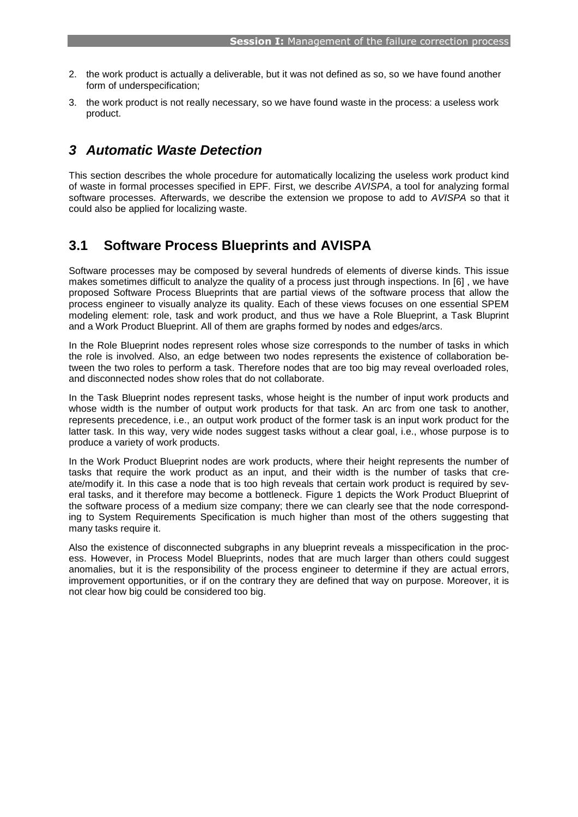- 2. the work product is actually a deliverable, but it was not defined as so, so we have found another form of underspecification;
- <span id="page-2-0"></span>3. the work product is not really necessary, so we have found waste in the process: a useless work product.

#### *3 Automatic Waste Detection*

This section describes the whole procedure for automatically localizing the useless work product kind of waste in formal processes specified in EPF. First, we describe *AVISPA*, a tool for analyzing formal software processes. Afterwards, we describe the extension we propose to add to *AVISPA* so that it could also be applied for localizing waste.

#### **3.1 Software Process Blueprints and AVISPA**

Software processes may be composed by several hundreds of elements of diverse kinds. This issue makes sometimes difficult to analyze the quality of a process just through inspections. In [\[6\] ,](#page-9-4) we have proposed Software Process Blueprints that are partial views of the software process that allow the process engineer to visually analyze its quality. Each of these views focuses on one essential SPEM modeling element: role, task and work product, and thus we have a Role Blueprint, a Task Bluprint and a Work Product Blueprint. All of them are graphs formed by nodes and edges/arcs.

In the Role Blueprint nodes represent roles whose size corresponds to the number of tasks in which the role is involved. Also, an edge between two nodes represents the existence of collaboration between the two roles to perform a task. Therefore nodes that are too big may reveal overloaded roles, and disconnected nodes show roles that do not collaborate.

In the Task Blueprint nodes represent tasks, whose height is the number of input work products and whose width is the number of output work products for that task. An arc from one task to another, represents precedence, i.e., an output work product of the former task is an input work product for the latter task. In this way, very wide nodes suggest tasks without a clear goal, i.e., whose purpose is to produce a variety of work products.

In the Work Product Blueprint nodes are work products, where their height represents the number of tasks that require the work product as an input, and their width is the number of tasks that create/modify it. In this case a node that is too high reveals that certain work product is required by several tasks, and it therefore may become a bottleneck. [Figure 1](#page-3-0) depicts the Work Product Blueprint of the software process of a medium size company; there we can clearly see that the node corresponding to System Requirements Specification is much higher than most of the others suggesting that many tasks require it.

Also the existence of disconnected subgraphs in any blueprint reveals a misspecification in the process. However, in Process Model Blueprints, nodes that are much larger than others could suggest anomalies, but it is the responsibility of the process engineer to determine if they are actual errors, improvement opportunities, or if on the contrary they are defined that way on purpose. Moreover, it is not clear how big could be considered too big.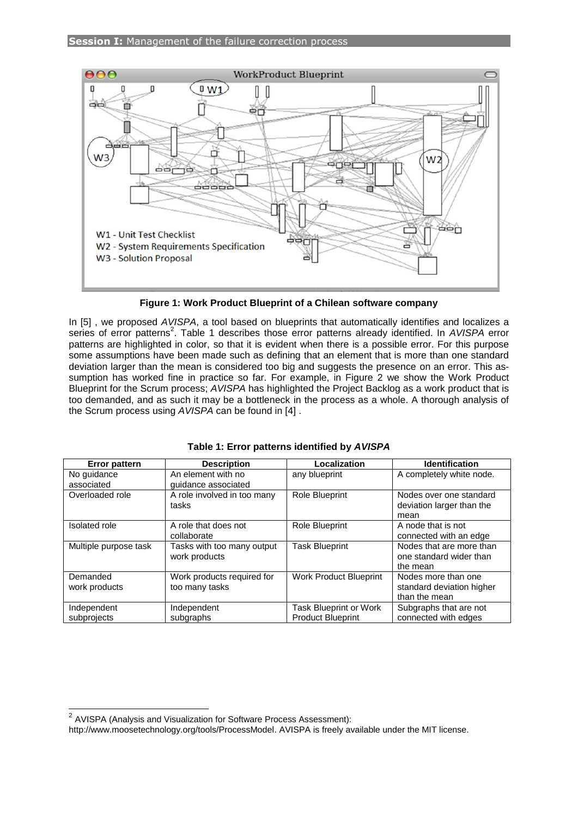

**Figure 1: Work Product Blueprint of a Chilean software company**

<span id="page-3-0"></span>In [\[5\] ,](#page-9-1) we proposed *AVISPA*, a tool based on blueprints that automatically identifies and localizes a series of error patterns<sup>2</sup>. [Table 1](#page-3-1) describes those error patterns already identified. In *AVISPA* error patterns are highlighted in color, so that it is evident when there is a possible error. For this purpose some assumptions have been made such as defining that an element that is more than one standard deviation larger than the mean is considered too big and suggests the presence on an error. This assumption has worked fine in practice so far. For example, in [Figure 2](#page-4-1) we show the Work Product Blueprint for the Scrum process; *AVISPA* has highlighted the Project Backlog as a work product that is too demanded, and as such it may be a bottleneck in the process as a whole. A thorough analysis of the Scrum process using *AVISPA* can be found in [\[4\] .](#page-9-5)

<span id="page-3-1"></span>

| <b>Error pattern</b>  | <b>Description</b>                          | Localization             | <b>Identification</b>                                           |  |  |  |  |
|-----------------------|---------------------------------------------|--------------------------|-----------------------------------------------------------------|--|--|--|--|
| No guidance           | An element with no                          | any blueprint            | A completely white node.                                        |  |  |  |  |
| associated            | quidance associated                         |                          |                                                                 |  |  |  |  |
| Overloaded role       | A role involved in too many<br>tasks        | Role Blueprint           | Nodes over one standard<br>deviation larger than the            |  |  |  |  |
|                       |                                             |                          | mean                                                            |  |  |  |  |
| <b>Isolated</b> role  | A role that does not                        | Role Blueprint           | A node that is not                                              |  |  |  |  |
|                       | collaborate                                 |                          | connected with an edge                                          |  |  |  |  |
| Multiple purpose task | Tasks with too many output<br>work products | <b>Task Blueprint</b>    | Nodes that are more than<br>one standard wider than<br>the mean |  |  |  |  |
| Demanded              | Work products required for                  | Work Product Blueprint   | Nodes more than one                                             |  |  |  |  |
| work products         | too many tasks                              |                          | standard deviation higher                                       |  |  |  |  |
|                       |                                             |                          | than the mean                                                   |  |  |  |  |
| Independent           | Independent                                 | Task Blueprint or Work   | Subgraphs that are not                                          |  |  |  |  |
| subprojects           | subgraphs                                   | <b>Product Blueprint</b> | connected with edges                                            |  |  |  |  |

|  | Table 1: Error patterns identified by AVISPA |  |  |  |
|--|----------------------------------------------|--|--|--|
|--|----------------------------------------------|--|--|--|

 2 AVISPA (Analysis and Visualization for Software Process Assessment):

http://www.moosetechnology.org/tools/ProcessModel. AVISPA is freely available under the MIT license.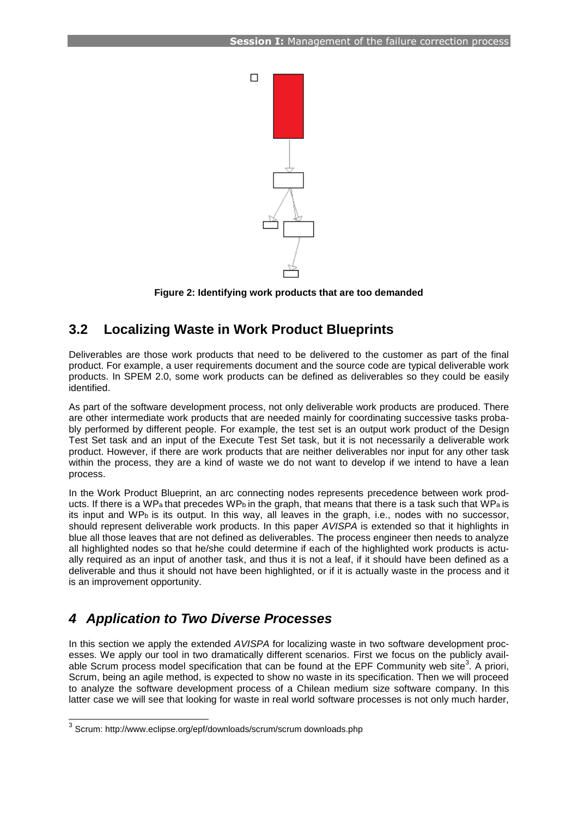

**Figure 2: Identifying work products that are too demanded**

### <span id="page-4-1"></span>**3.2 Localizing Waste in Work Product Blueprints**

Deliverables are those work products that need to be delivered to the customer as part of the final product. For example, a user requirements document and the source code are typical deliverable work products. In SPEM 2.0, some work products can be defined as deliverables so they could be easily identified.

As part of the software development process, not only deliverable work products are produced. There are other intermediate work products that are needed mainly for coordinating successive tasks probably performed by different people. For example, the test set is an output work product of the Design Test Set task and an input of the Execute Test Set task, but it is not necessarily a deliverable work product. However, if there are work products that are neither deliverables nor input for any other task within the process, they are a kind of waste we do not want to develop if we intend to have a lean process.

In the Work Product Blueprint, an arc connecting nodes represents precedence between work products. If there is a WP<sub>a</sub> that precedes WP<sub>b</sub> in the graph, that means that there is a task such that WP<sub>a</sub> is its input and WPb is its output. In this way, all leaves in the graph, i.e., nodes with no successor, should represent deliverable work products. In this paper *AVISPA* is extended so that it highlights in blue all those leaves that are not defined as deliverables. The process engineer then needs to analyze all highlighted nodes so that he/she could determine if each of the highlighted work products is actually required as an input of another task, and thus it is not a leaf, if it should have been defined as a deliverable and thus it should not have been highlighted, or if it is actually waste in the process and it is an improvement opportunity.

# <span id="page-4-0"></span>*4 Application to Two Diverse Processes*

In this section we apply the extended *AVISPA* for localizing waste in two software development processes. We apply our tool in two dramatically different scenarios. First we focus on the publicly available Scrum process model specification that can be found at the EPF Community web site<sup>3</sup>. A priori, Scrum, being an agile method, is expected to show no waste in its specification. Then we will proceed to analyze the software development process of a Chilean medium size software company. In this latter case we will see that looking for waste in real world software processes is not only much harder,

 3 Scrum: http://www.eclipse.org/epf/downloads/scrum/scrum downloads.php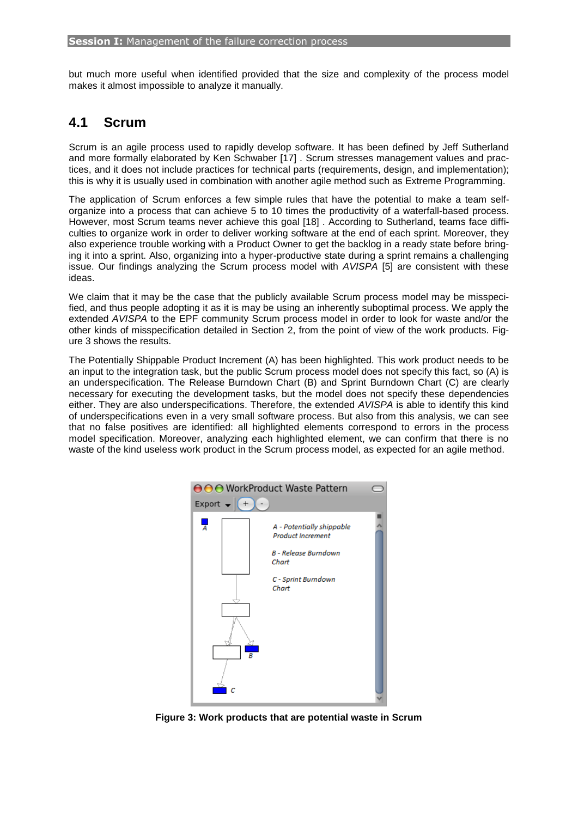but much more useful when identified provided that the size and complexity of the process model makes it almost impossible to analyze it manually.

### **4.1 Scrum**

Scrum is an agile process used to rapidly develop software. It has been defined by Jeff Sutherland and more formally elaborated by Ken Schwaber [\[17\] .](#page-9-6) Scrum stresses management values and practices, and it does not include practices for technical parts (requirements, design, and implementation); this is why it is usually used in combination with another agile method such as Extreme Programming.

The application of Scrum enforces a few simple rules that have the potential to make a team selforganize into a process that can achieve 5 to 10 times the productivity of a waterfall-based process. However, most Scrum teams never achieve this goal [\[18\] .](#page-9-7) According to Sutherland, teams face difficulties to organize work in order to deliver working software at the end of each sprint. Moreover, they also experience trouble working with a Product Owner to get the backlog in a ready state before bringing it into a sprint. Also, organizing into a hyper-productive state during a sprint remains a challenging issue. Our findings analyzing the Scrum process model with *AVISPA* [\[5\] a](#page-9-1)re consistent with these ideas.

We claim that it may be the case that the publicly available Scrum process model may be misspecified, and thus people adopting it as it is may be using an inherently suboptimal process. We apply the extended *AVISPA* to the EPF community Scrum process model in order to look for waste and/or the other kinds of misspecification detailed in Section 2, from the point of view of the work products. [Fig](#page-5-0)[ure 3](#page-5-0) shows the results.

The Potentially Shippable Product Increment (A) has been highlighted. This work product needs to be an input to the integration task, but the public Scrum process model does not specify this fact, so (A) is an underspecification. The Release Burndown Chart (B) and Sprint Burndown Chart (C) are clearly necessary for executing the development tasks, but the model does not specify these dependencies either. They are also underspecifications. Therefore, the extended *AVISPA* is able to identify this kind of underspecifications even in a very small software process. But also from this analysis, we can see that no false positives are identified: all highlighted elements correspond to errors in the process model specification. Moreover, analyzing each highlighted element, we can confirm that there is no waste of the kind useless work product in the Scrum process model, as expected for an agile method.



<span id="page-5-0"></span>**Figure 3: Work products that are potential waste in Scrum**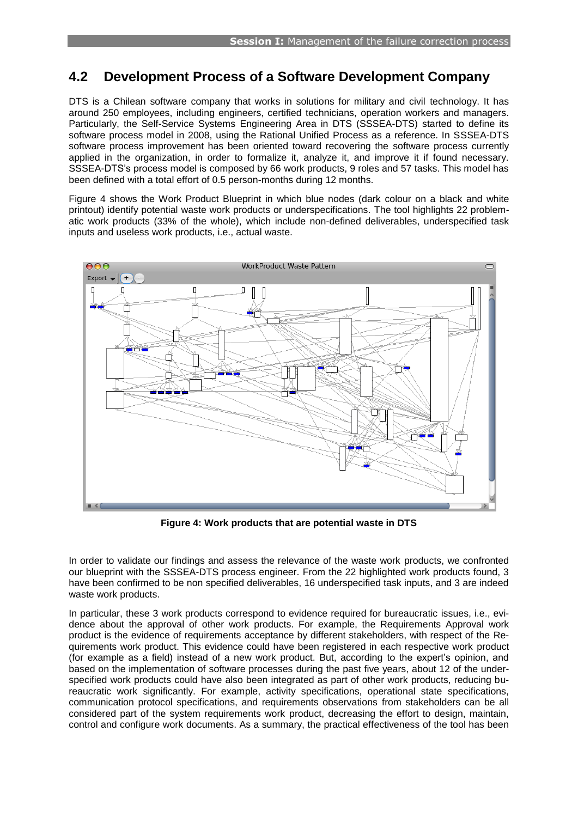### <span id="page-6-0"></span>**4.2 Development Process of a Software Development Company**

DTS is a Chilean software company that works in solutions for military and civil technology. It has around 250 employees, including engineers, certified technicians, operation workers and managers. Particularly, the Self-Service Systems Engineering Area in DTS (SSSEA-DTS) started to define its software process model in 2008, using the Rational Unified Process as a reference. In SSSEA-DTS software process improvement has been oriented toward recovering the software process currently applied in the organization, in order to formalize it, analyze it, and improve it if found necessary. SSSEA-DTS's process model is composed by 66 work products, 9 roles and 57 tasks. This model has been defined with a total effort of 0.5 person-months during 12 months.

[Figure 4](#page-6-1) shows the Work Product Blueprint in which blue nodes (dark colour on a black and white printout) identify potential waste work products or underspecifications. The tool highlights 22 problematic work products (33% of the whole), which include non-defined deliverables, underspecified task inputs and useless work products, i.e., actual waste.



**Figure 4: Work products that are potential waste in DTS**

<span id="page-6-1"></span>In order to validate our findings and assess the relevance of the waste work products, we confronted our blueprint with the SSSEA-DTS process engineer. From the 22 highlighted work products found, 3 have been confirmed to be non specified deliverables, 16 underspecified task inputs, and 3 are indeed waste work products.

In particular, these 3 work products correspond to evidence required for bureaucratic issues, i.e., evidence about the approval of other work products. For example, the Requirements Approval work product is the evidence of requirements acceptance by different stakeholders, with respect of the Requirements work product. This evidence could have been registered in each respective work product (for example as a field) instead of a new work product. But, according to the expert's opinion, and based on the implementation of software processes during the past five years, about 12 of the underspecified work products could have also been integrated as part of other work products, reducing bureaucratic work significantly. For example, activity specifications, operational state specifications, communication protocol specifications, and requirements observations from stakeholders can be all considered part of the system requirements work product, decreasing the effort to design, maintain, control and configure work documents. As a summary, the practical effectiveness of the tool has been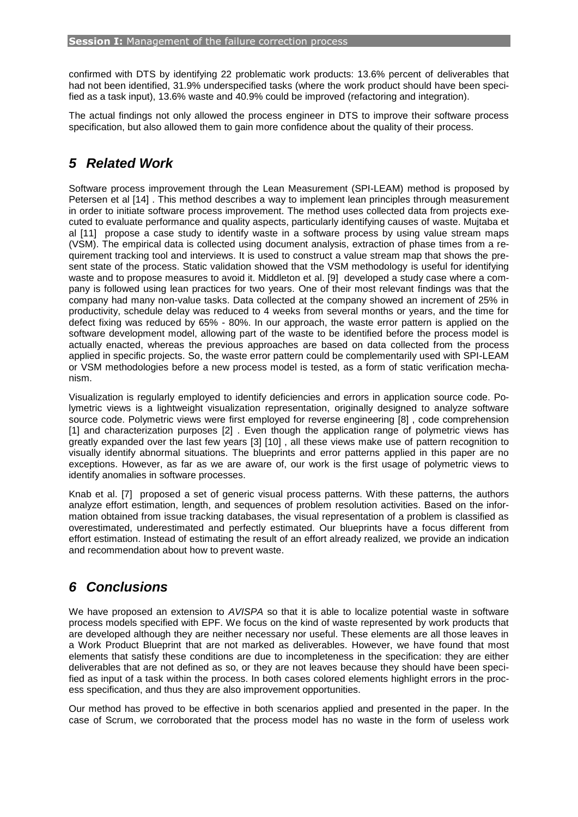confirmed with DTS by identifying 22 problematic work products: 13.6% percent of deliverables that had not been identified, 31.9% underspecified tasks (where the work product should have been specified as a task input), 13.6% waste and 40.9% could be improved (refactoring and integration).

<span id="page-7-0"></span>The actual findings not only allowed the process engineer in DTS to improve their software process specification, but also allowed them to gain more confidence about the quality of their process.

### *5 Related Work*

Software process improvement through the Lean Measurement (SPI-LEAM) method is proposed by Petersen et al [\[14\] .](#page-9-8) This method describes a way to implement lean principles through measurement in order to initiate software process improvement. The method uses collected data from projects executed to evaluate performance and quality aspects, particularly identifying causes of waste. Mujtaba et al [\[11\]](#page-9-9) propose a case study to identify waste in a software process by using value stream maps (VSM). The empirical data is collected using document analysis, extraction of phase times from a requirement tracking tool and interviews. It is used to construct a value stream map that shows the present state of the process. Static validation showed that the VSM methodology is useful for identifying waste and to propose measures to avoid it. Middleton et al. [\[9\]](#page-9-10) developed a study case where a company is followed using lean practices for two years. One of their most relevant findings was that the company had many non-value tasks. Data collected at the company showed an increment of 25% in productivity, schedule delay was reduced to 4 weeks from several months or years, and the time for defect fixing was reduced by 65% - 80%. In our approach, the waste error pattern is applied on the software development model, allowing part of the waste to be identified before the process model is actually enacted, whereas the previous approaches are based on data collected from the process applied in specific projects. So, the waste error pattern could be complementarily used with SPI-LEAM or VSM methodologies before a new process model is tested, as a form of static verification mechanism.

Visualization is regularly employed to identify deficiencies and errors in application source code. Polymetric views is a lightweight visualization representation, originally designed to analyze software source code. Polymetric views were first employed for reverse engineering [\[8\] ,](#page-9-11) code comprehension [\[1\] a](#page-9-12)nd characterization purposes [\[2\] .](#page-9-13) Even though the application range of polymetric views has greatly expanded over the last few years [\[3\] \[10\] ,](#page-9-14) all these views make use of pattern recognition to visually identify abnormal situations. The blueprints and error patterns applied in this paper are no exceptions. However, as far as we are aware of, our work is the first usage of polymetric views to identify anomalies in software processes.

Knab et al. [\[7\]](#page-9-15) proposed a set of generic visual process patterns. With these patterns, the authors analyze effort estimation, length, and sequences of problem resolution activities. Based on the information obtained from issue tracking databases, the visual representation of a problem is classified as overestimated, underestimated and perfectly estimated. Our blueprints have a focus different from effort estimation. Instead of estimating the result of an effort already realized, we provide an indication and recommendation about how to prevent waste.

# <span id="page-7-1"></span>*6 Conclusions*

We have proposed an extension to *AVISPA* so that it is able to localize potential waste in software process models specified with EPF. We focus on the kind of waste represented by work products that are developed although they are neither necessary nor useful. These elements are all those leaves in a Work Product Blueprint that are not marked as deliverables. However, we have found that most elements that satisfy these conditions are due to incompleteness in the specification: they are either deliverables that are not defined as so, or they are not leaves because they should have been specified as input of a task within the process. In both cases colored elements highlight errors in the process specification, and thus they are also improvement opportunities.

Our method has proved to be effective in both scenarios applied and presented in the paper. In the case of Scrum, we corroborated that the process model has no waste in the form of useless work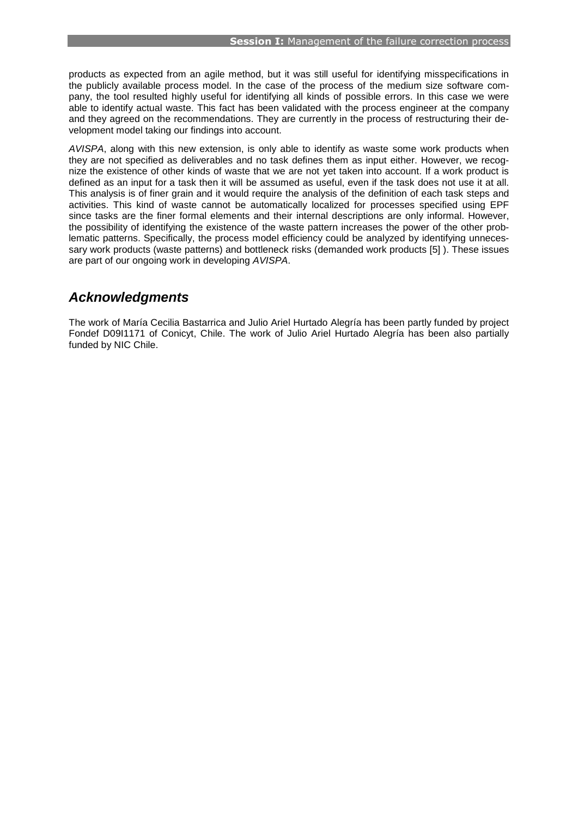products as expected from an agile method, but it was still useful for identifying misspecifications in the publicly available process model. In the case of the process of the medium size software company, the tool resulted highly useful for identifying all kinds of possible errors. In this case we were able to identify actual waste. This fact has been validated with the process engineer at the company and they agreed on the recommendations. They are currently in the process of restructuring their development model taking our findings into account.

*AVISPA*, along with this new extension, is only able to identify as waste some work products when they are not specified as deliverables and no task defines them as input either. However, we recognize the existence of other kinds of waste that we are not yet taken into account. If a work product is defined as an input for a task then it will be assumed as useful, even if the task does not use it at all. This analysis is of finer grain and it would require the analysis of the definition of each task steps and activities. This kind of waste cannot be automatically localized for processes specified using EPF since tasks are the finer formal elements and their internal descriptions are only informal. However, the possibility of identifying the existence of the waste pattern increases the power of the other problematic patterns. Specifically, the process model efficiency could be analyzed by identifying unnecessary work products (waste patterns) and bottleneck risks (demanded work products [\[5\] \)](#page-9-1). These issues are part of our ongoing work in developing *AVISPA*.

#### *Acknowledgments*

The work of María Cecilia Bastarrica and Julio Ariel Hurtado Alegría has been partly funded by project Fondef D09I1171 of Conicyt, Chile. The work of Julio Ariel Hurtado Alegría has been also partially funded by NIC Chile.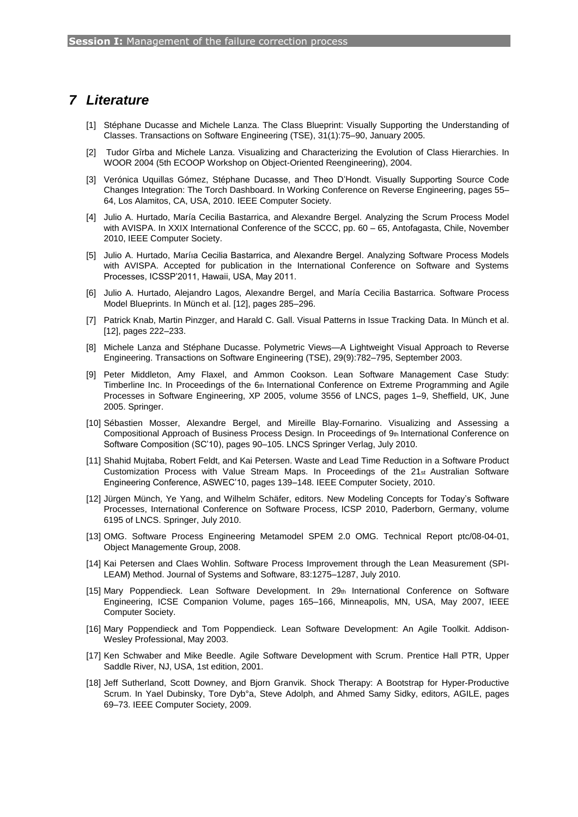#### *7 Literature*

- <span id="page-9-12"></span>[1] Stéphane Ducasse and Michele Lanza. The Class Blueprint: Visually Supporting the Understanding of Classes. Transactions on Software Engineering (TSE), 31(1):75–90, January 2005.
- <span id="page-9-13"></span>[2] Tudor Gîrba and Michele Lanza. Visualizing and Characterizing the Evolution of Class Hierarchies. In WOOR 2004 (5th ECOOP Workshop on Object-Oriented Reengineering), 2004.
- <span id="page-9-14"></span>[3] Verónica Uquillas Gómez, Stéphane Ducasse, and Theo D'Hondt. Visually Supporting Source Code Changes Integration: The Torch Dashboard. In Working Conference on Reverse Engineering, pages 55– 64, Los Alamitos, CA, USA, 2010. IEEE Computer Society.
- <span id="page-9-5"></span>[4] Julio A. Hurtado, María Cecilia Bastarrica, and Alexandre Bergel. Analyzing the Scrum Process Model with AVISPA. In XXIX International Conference of the SCCC, pp. 60 – 65, Antofagasta, Chile, November 2010, IEEE Computer Society.
- <span id="page-9-1"></span>[5] Julio A. Hurtado, Maríıa Cecilia Bastarrica, and Alexandre Bergel. Analyzing Software Process Models with AVISPA. Accepted for publication in the International Conference on Software and Systems Processes, ICSSP'2011, Hawaii, USA, May 2011.
- <span id="page-9-4"></span>[6] Julio A. Hurtado, Alejandro Lagos, Alexandre Bergel, and María Cecilia Bastarrica. Software Process Model Blueprints. In Münch et al. [12], pages 285–296.
- <span id="page-9-15"></span>[7] Patrick Knab, Martin Pinzger, and Harald C. Gall. Visual Patterns in Issue Tracking Data. In Münch et al. [12], pages 222–233.
- <span id="page-9-11"></span>[8] Michele Lanza and Stéphane Ducasse. Polymetric Views—A Lightweight Visual Approach to Reverse Engineering. Transactions on Software Engineering (TSE), 29(9):782–795, September 2003.
- <span id="page-9-10"></span>[9] Peter Middleton, Amy Flaxel, and Ammon Cookson. Lean Software Management Case Study: Timberline Inc. In Proceedings of the 6th International Conference on Extreme Programming and Agile Processes in Software Engineering, XP 2005, volume 3556 of LNCS, pages 1–9, Sheffield, UK, June 2005. Springer.
- [10] Sébastien Mosser, Alexandre Bergel, and Mireille Blay-Fornarino. Visualizing and Assessing a Compositional Approach of Business Process Design. In Proceedings of 9th International Conference on Software Composition (SC'10), pages 90–105. LNCS Springer Verlag, July 2010.
- <span id="page-9-9"></span>[11] Shahid Mujtaba, Robert Feldt, and Kai Petersen. Waste and Lead Time Reduction in a Software Product Customization Process with Value Stream Maps. In Proceedings of the 21st Australian Software Engineering Conference, ASWEC'10, pages 139–148. IEEE Computer Society, 2010.
- [12] Jürgen Münch, Ye Yang, and Wilhelm Schäfer, editors. New Modeling Concepts for Today's Software Processes, International Conference on Software Process, ICSP 2010, Paderborn, Germany, volume 6195 of LNCS. Springer, July 2010.
- <span id="page-9-3"></span>[13] OMG. Software Process Engineering Metamodel SPEM 2.0 OMG. Technical Report ptc/08-04-01, Object Managemente Group, 2008.
- <span id="page-9-8"></span>[14] Kai Petersen and Claes Wohlin. Software Process Improvement through the Lean Measurement (SPI-LEAM) Method. Journal of Systems and Software, 83:1275–1287, July 2010.
- <span id="page-9-2"></span>[15] Mary Poppendieck. Lean Software Development. In 29th International Conference on Software Engineering, ICSE Companion Volume, pages 165–166, Minneapolis, MN, USA, May 2007, IEEE Computer Society.
- <span id="page-9-0"></span>[16] Mary Poppendieck and Tom Poppendieck. Lean Software Development: An Agile Toolkit. Addison-Wesley Professional, May 2003.
- <span id="page-9-6"></span>[17] Ken Schwaber and Mike Beedle. Agile Software Development with Scrum. Prentice Hall PTR, Upper Saddle River, NJ, USA, 1st edition, 2001.
- <span id="page-9-7"></span>[18] Jeff Sutherland, Scott Downey, and Bjorn Granvik. Shock Therapy: A Bootstrap for Hyper-Productive Scrum. In Yael Dubinsky, Tore Dyb°a, Steve Adolph, and Ahmed Samy Sidky, editors, AGILE, pages 69–73. IEEE Computer Society, 2009.